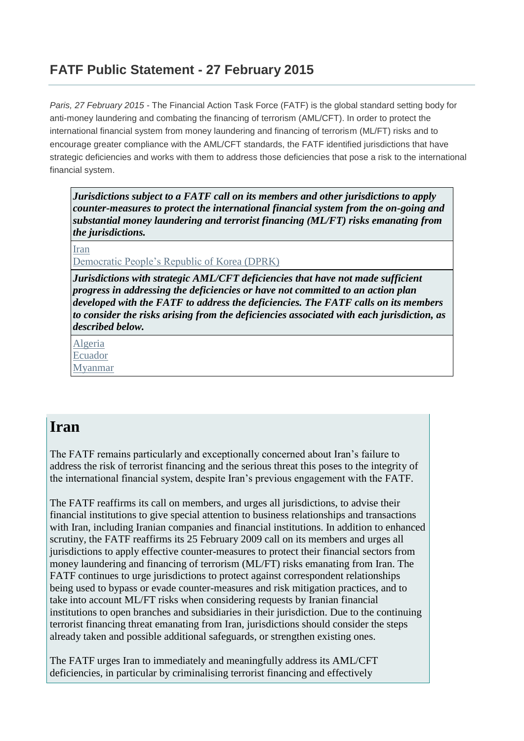### **FATF Public Statement - 27 February 2015**

*Paris, 27 February 2015 -* The Financial Action Task Force (FATF) is the global standard setting body for anti-money laundering and combating the financing of terrorism (AML/CFT). In order to protect the international financial system from money laundering and financing of terrorism (ML/FT) risks and to encourage greater compliance with the AML/CFT standards, the FATF identified jurisdictions that have strategic deficiencies and works with them to address those deficiencies that pose a risk to the international financial system.

*Jurisdictions subject to a FATF call on its members and other jurisdictions to apply counter-measures to protect the international financial system from the on-going and substantial money laundering and terrorist financing (ML/FT) risks emanating from the jurisdictions.*

Iran

Democratic People's Republic of Korea (DPRK)

*Jurisdictions with strategic AML/CFT deficiencies that have not made sufficient progress in addressing the deficiencies or have not committed to an action plan developed with the FATF to address the deficiencies. The FATF calls on its members to consider the risks arising from the deficiencies associated with each jurisdiction, as described below.*

Algeria Ecuador Myanmar

#### **Iran**

The FATF remains particularly and exceptionally concerned about Iran's failure to address the risk of terrorist financing and the serious threat this poses to the integrity of the international financial system, despite Iran's previous engagement with the FATF.

The FATF reaffirms its call on members, and urges all jurisdictions, to advise their financial institutions to give special attention to business relationships and transactions with Iran, including Iranian companies and financial institutions. In addition to enhanced scrutiny, the FATF reaffirms its 25 February 2009 call on its members and urges all jurisdictions to apply effective counter-measures to protect their financial sectors from money laundering and financing of terrorism (ML/FT) risks emanating from Iran. The FATF continues to urge jurisdictions to protect against correspondent relationships being used to bypass or evade counter-measures and risk mitigation practices, and to take into account ML/FT risks when considering requests by Iranian financial institutions to open branches and subsidiaries in their jurisdiction. Due to the continuing terrorist financing threat emanating from Iran, jurisdictions should consider the steps already taken and possible additional safeguards, or strengthen existing ones.

The FATF urges Iran to immediately and meaningfully address its AML/CFT deficiencies, in particular by criminalising terrorist financing and effectively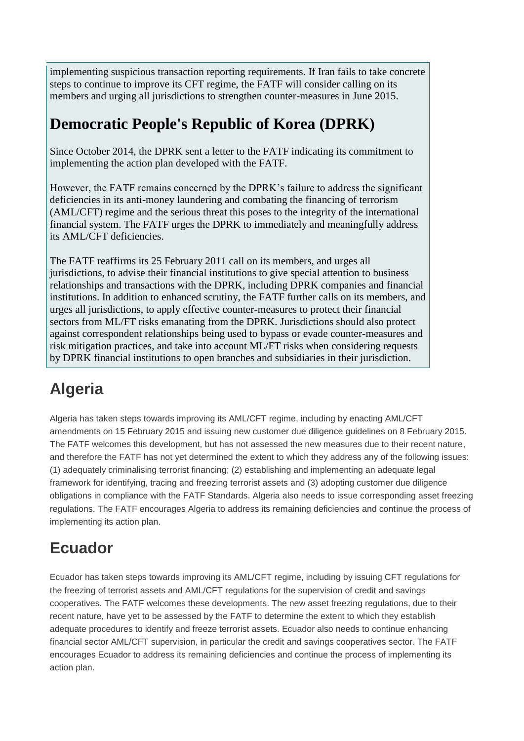implementing suspicious transaction reporting requirements. If Iran fails to take concrete steps to continue to improve its CFT regime, the FATF will consider calling on its members and urging all jurisdictions to strengthen counter-measures in June 2015.

### **Democratic People's Republic of Korea (DPRK)**

Since October 2014, the DPRK sent a letter to the FATF indicating its commitment to implementing the action plan developed with the FATF.

However, the FATF remains concerned by the DPRK's failure to address the significant deficiencies in its anti-money laundering and combating the financing of terrorism (AML/CFT) regime and the serious threat this poses to the integrity of the international financial system. The FATF urges the DPRK to immediately and meaningfully address its AML/CFT deficiencies.

The FATF reaffirms its 25 February 2011 call on its members, and urges all jurisdictions, to advise their financial institutions to give special attention to business relationships and transactions with the DPRK, including DPRK companies and financial institutions. In addition to enhanced scrutiny, the FATF further calls on its members, and urges all jurisdictions, to apply effective counter-measures to protect their financial sectors from ML/FT risks emanating from the DPRK. Jurisdictions should also protect against correspondent relationships being used to bypass or evade counter-measures and risk mitigation practices, and take into account ML/FT risks when considering requests by DPRK financial institutions to open branches and subsidiaries in their jurisdiction.

# **Algeria**

Algeria has taken steps towards improving its AML/CFT regime, including by enacting AML/CFT amendments on 15 February 2015 and issuing new customer due diligence guidelines on 8 February 2015. The FATF welcomes this development, but has not assessed the new measures due to their recent nature, and therefore the FATF has not yet determined the extent to which they address any of the following issues: (1) adequately criminalising terrorist financing; (2) establishing and implementing an adequate legal framework for identifying, tracing and freezing terrorist assets and (3) adopting customer due diligence obligations in compliance with the FATF Standards. Algeria also needs to issue corresponding asset freezing regulations. The FATF encourages Algeria to address its remaining deficiencies and continue the process of implementing its action plan.

## **Ecuador**

Ecuador has taken steps towards improving its AML/CFT regime, including by issuing CFT regulations for the freezing of terrorist assets and AML/CFT regulations for the supervision of credit and savings cooperatives. The FATF welcomes these developments. The new asset freezing regulations, due to their recent nature, have yet to be assessed by the FATF to determine the extent to which they establish adequate procedures to identify and freeze terrorist assets. Ecuador also needs to continue enhancing financial sector AML/CFT supervision, in particular the credit and savings cooperatives sector. The FATF encourages Ecuador to address its remaining deficiencies and continue the process of implementing its action plan.